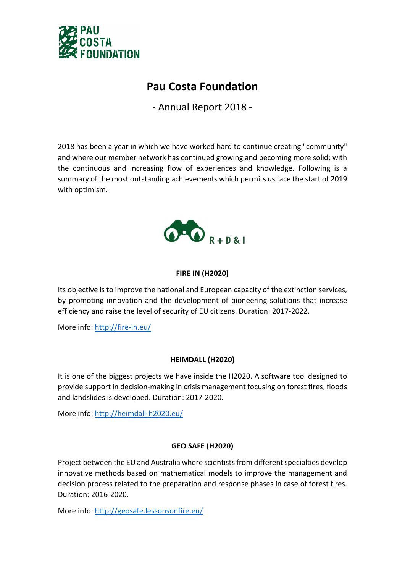

# Pau Costa Foundation

- Annual Report 2018 -

2018 has been a year in which we have worked hard to continue creating "community" and where our member network has continued growing and becoming more solid; with the continuous and increasing flow of experiences and knowledge. Following is a summary of the most outstanding achievements which permits us face the start of 2019 with optimism.



# FIRE IN (H2020)

Its objective is to improve the national and European capacity of the extinction services, by promoting innovation and the development of pioneering solutions that increase efficiency and raise the level of security of EU citizens. Duration: 2017-2022.

More info: http://fire-in.eu/

# HEIMDALL (H2020)

It is one of the biggest projects we have inside the H2020. A software tool designed to provide support in decision-making in crisis management focusing on forest fires, floods and landslides is developed. Duration: 2017-2020.

More info: http://heimdall-h2020.eu/

# GEO SAFE (H2020)

Project between the EU and Australia where scientists from different specialties develop innovative methods based on mathematical models to improve the management and decision process related to the preparation and response phases in case of forest fires. Duration: 2016-2020.

More info: http://geosafe.lessonsonfire.eu/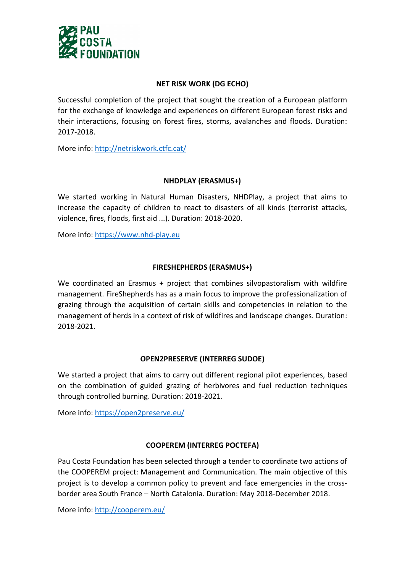

# NET RISK WORK (DG ECHO)

Successful completion of the project that sought the creation of a European platform for the exchange of knowledge and experiences on different European forest risks and their interactions, focusing on forest fires, storms, avalanches and floods. Duration: 2017-2018.

More info: http://netriskwork.ctfc.cat/

# NHDPLAY (ERASMUS+)

We started working in Natural Human Disasters, NHDPlay, a project that aims to increase the capacity of children to react to disasters of all kinds (terrorist attacks, violence, fires, floods, first aid ...). Duration: 2018-2020.

More info: https://www.nhd-play.eu

# FIRESHEPHERDS (ERASMUS+)

We coordinated an Erasmus + project that combines silvopastoralism with wildfire management. FireShepherds has as a main focus to improve the professionalization of grazing through the acquisition of certain skills and competencies in relation to the management of herds in a context of risk of wildfires and landscape changes. Duration: 2018-2021.

#### OPEN2PRESERVE (INTERREG SUDOE)

We started a project that aims to carry out different regional pilot experiences, based on the combination of guided grazing of herbivores and fuel reduction techniques through controlled burning. Duration: 2018-2021.

More info: https://open2preserve.eu/

# COOPEREM (INTERREG POCTEFA)

Pau Costa Foundation has been selected through a tender to coordinate two actions of the COOPEREM project: Management and Communication. The main objective of this project is to develop a common policy to prevent and face emergencies in the crossborder area South France – North Catalonia. Duration: May 2018-December 2018.

More info: http://cooperem.eu/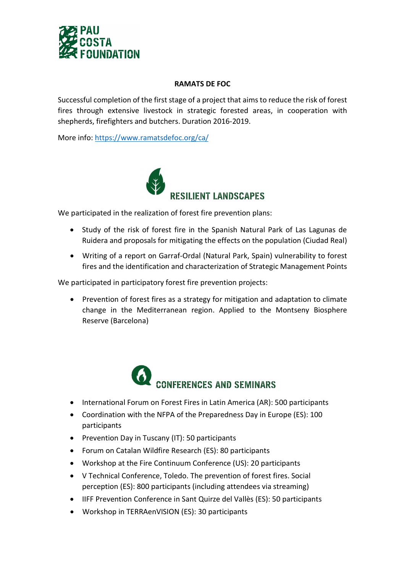

#### RAMATS DE FOC

Successful completion of the first stage of a project that aims to reduce the risk of forest fires through extensive livestock in strategic forested areas, in cooperation with shepherds, firefighters and butchers. Duration 2016-2019.

More info: https://www.ramatsdefoc.org/ca/



We participated in the realization of forest fire prevention plans:

- Study of the risk of forest fire in the Spanish Natural Park of Las Lagunas de Ruidera and proposals for mitigating the effects on the population (Ciudad Real)
- Writing of a report on Garraf-Ordal (Natural Park, Spain) vulnerability to forest fires and the identification and characterization of Strategic Management Points

We participated in participatory forest fire prevention projects:

• Prevention of forest fires as a strategy for mitigation and adaptation to climate change in the Mediterranean region. Applied to the Montseny Biosphere Reserve (Barcelona)



- International Forum on Forest Fires in Latin America (AR): 500 participants
- Coordination with the NFPA of the Preparedness Day in Europe (ES): 100 participants
- Prevention Day in Tuscany (IT): 50 participants
- Forum on Catalan Wildfire Research (ES): 80 participants
- Workshop at the Fire Continuum Conference (US): 20 participants
- V Technical Conference, Toledo. The prevention of forest fires. Social perception (ES): 800 participants (including attendees via streaming)
- IIFF Prevention Conference in Sant Quirze del Vallès (ES): 50 participants
- Workshop in TERRAenVISION (ES): 30 participants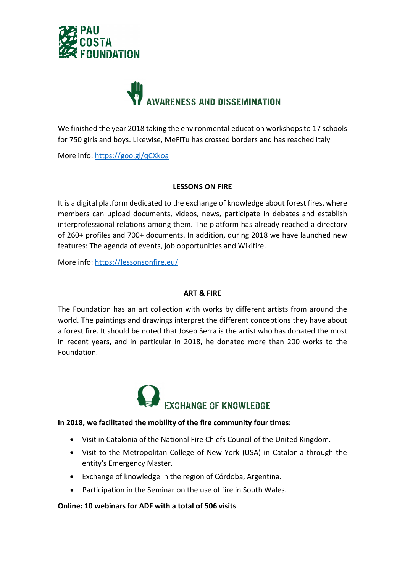



We finished the year 2018 taking the environmental education workshops to 17 schools for 750 girls and boys. Likewise, MeFiTu has crossed borders and has reached Italy

More info: https://goo.gl/qCXkoa

#### LESSONS ON FIRE

It is a digital platform dedicated to the exchange of knowledge about forest fires, where members can upload documents, videos, news, participate in debates and establish interprofessional relations among them. The platform has already reached a directory of 260+ profiles and 700+ documents. In addition, during 2018 we have launched new features: The agenda of events, job opportunities and Wikifire.

More info: https://lessonsonfire.eu/

# ART & FIRE

The Foundation has an art collection with works by different artists from around the world. The paintings and drawings interpret the different conceptions they have about a forest fire. It should be noted that Josep Serra is the artist who has donated the most in recent years, and in particular in 2018, he donated more than 200 works to the Foundation.



#### In 2018, we facilitated the mobility of the fire community four times:

- Visit in Catalonia of the National Fire Chiefs Council of the United Kingdom.
- Visit to the Metropolitan College of New York (USA) in Catalonia through the entity's Emergency Master.
- Exchange of knowledge in the region of Córdoba, Argentina.
- Participation in the Seminar on the use of fire in South Wales.

# Online: 10 webinars for ADF with a total of 506 visits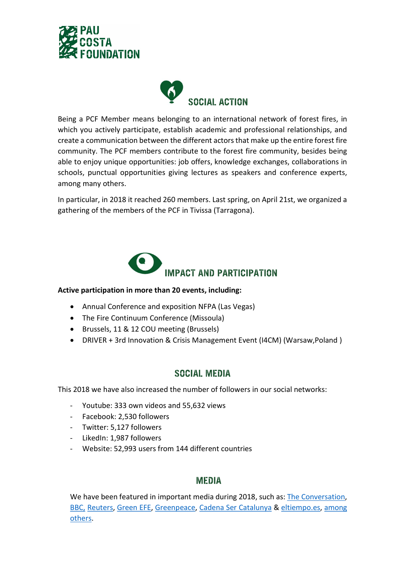



Being a PCF Member means belonging to an international network of forest fires, in which you actively participate, establish academic and professional relationships, and create a communication between the different actors that make up the entire forest fire community. The PCF members contribute to the forest fire community, besides being able to enjoy unique opportunities: job offers, knowledge exchanges, collaborations in schools, punctual opportunities giving lectures as speakers and conference experts, among many others.

In particular, in 2018 it reached 260 members. Last spring, on April 21st, we organized a gathering of the members of the PCF in Tivissa (Tarragona).



#### Active participation in more than 20 events, including:

- Annual Conference and exposition NFPA (Las Vegas)
- The Fire Continuum Conference (Missoula)
- Brussels, 11 & 12 COU meeting (Brussels)
- DRIVER + 3rd Innovation & Crisis Management Event (I4CM) (Warsaw,Poland )

# **SOCIAL MEDIA**

This 2018 we have also increased the number of followers in our social networks:

- Youtube: 333 own videos and 55,632 views
- Facebook: 2,530 followers
- Twitter: 5,127 followers
- LikedIn: 1,987 followers
- Website: 52,993 users from 144 different countries

# **MEDIA**

We have been featured in important media during 2018, such as: The Conversation, BBC, Reuters, Green EFE, Greenpeace, Cadena Ser Catalunya & eltiempo.es, among others.